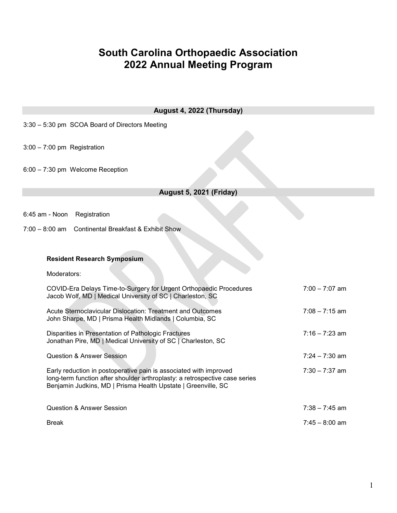## South Carolina Orthopaedic Association 2022 Annual Meeting Program

| August 4, 2022 (Thursday)                                                                                                                                                                                         |                  |  |  |
|-------------------------------------------------------------------------------------------------------------------------------------------------------------------------------------------------------------------|------------------|--|--|
| 3:30 - 5:30 pm SCOA Board of Directors Meeting                                                                                                                                                                    |                  |  |  |
| $3:00 - 7:00$ pm Registration                                                                                                                                                                                     |                  |  |  |
| 6:00 - 7:30 pm Welcome Reception                                                                                                                                                                                  |                  |  |  |
| <b>August 5, 2021 (Friday)</b>                                                                                                                                                                                    |                  |  |  |
| 6:45 am - Noon Registration<br>7:00 - 8:00 am Continental Breakfast & Exhibit Show                                                                                                                                |                  |  |  |
|                                                                                                                                                                                                                   |                  |  |  |
| <b>Resident Research Symposium</b>                                                                                                                                                                                |                  |  |  |
| Moderators:                                                                                                                                                                                                       |                  |  |  |
| COVID-Era Delays Time-to-Surgery for Urgent Orthopaedic Procedures<br>Jacob Wolf, MD   Medical University of SC   Charleston, SC                                                                                  | $7:00 - 7:07$ am |  |  |
| Acute Sternoclavicular Dislocation: Treatment and Outcomes<br>John Sharpe, MD   Prisma Health Midlands   Columbia, SC                                                                                             | $7:08 - 7:15$ am |  |  |
| Disparities in Presentation of Pathologic Fractures<br>Jonathan Pire, MD   Medical University of SC   Charleston, SC                                                                                              | $7:16 - 7:23$ am |  |  |
| <b>Question &amp; Answer Session</b>                                                                                                                                                                              | $7:24 - 7:30$ am |  |  |
| Early reduction in postoperative pain is associated with improved<br>long-term function after shoulder arthroplasty: a retrospective case series<br>Benjamin Judkins, MD   Prisma Health Upstate   Greenville, SC | $7:30 - 7:37$ am |  |  |
| <b>Question &amp; Answer Session</b>                                                                                                                                                                              | $7:38 - 7:45$ am |  |  |
| Break                                                                                                                                                                                                             | $7:45 - 8:00$ am |  |  |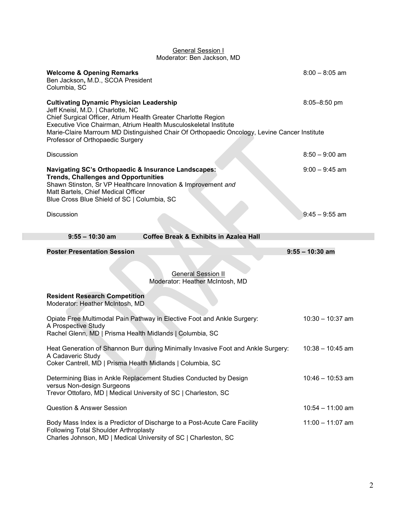|                                                                                                                                                                                          | <b>OBTIBIAI OBSSIUIT</b><br>Moderator: Ben Jackson, MD                                                                                                           |                    |  |  |  |
|------------------------------------------------------------------------------------------------------------------------------------------------------------------------------------------|------------------------------------------------------------------------------------------------------------------------------------------------------------------|--------------------|--|--|--|
| <b>Welcome &amp; Opening Remarks</b><br>Ben Jackson, M.D., SCOA President<br>Columbia, SC                                                                                                |                                                                                                                                                                  | $8:00 - 8:05$ am   |  |  |  |
| <b>Cultivating Dynamic Physician Leadership</b><br>Jeff Kneisl, M.D.   Charlotte, NC<br>Chief Surgical Officer, Atrium Health Greater Charlotte Region                                   | Executive Vice Chairman, Atrium Health Musculoskeletal Institute<br>Marie-Claire Marroum MD Distinguished Chair Of Orthopaedic Oncology, Levine Cancer Institute | $8:05 - 8:50$ pm   |  |  |  |
| Professor of Orthopaedic Surgery                                                                                                                                                         |                                                                                                                                                                  |                    |  |  |  |
| <b>Discussion</b>                                                                                                                                                                        |                                                                                                                                                                  | $8:50 - 9:00$ am   |  |  |  |
| Navigating SC's Orthopaedic & Insurance Landscapes:<br><b>Trends, Challenges and Opportunities</b><br>Matt Bartels, Chief Medical Officer<br>Blue Cross Blue Shield of SC   Columbia, SC | Shawn Stinston, Sr VP Healthcare Innovation & Improvement and                                                                                                    | $9:00 - 9:45$ am   |  |  |  |
| <b>Discussion</b>                                                                                                                                                                        |                                                                                                                                                                  | $9:45 - 9:55$ am   |  |  |  |
| $9:55 - 10:30$ am                                                                                                                                                                        | <b>Coffee Break &amp; Exhibits in Azalea Hall</b>                                                                                                                |                    |  |  |  |
| <b>Poster Presentation Session</b>                                                                                                                                                       |                                                                                                                                                                  | $9:55 - 10:30$ am  |  |  |  |
|                                                                                                                                                                                          | <b>General Session II</b><br>Moderator: Heather McIntosh, MD                                                                                                     |                    |  |  |  |
| <b>Resident Research Competition</b><br>Moderator: Heather McIntosh, MD                                                                                                                  |                                                                                                                                                                  |                    |  |  |  |
| A Prospective Study<br>Rachel Glenn, MD   Prisma Health Midlands   Columbia, SC                                                                                                          | Opiate Free Multimodal Pain Pathway in Elective Foot and Ankle Surgery:                                                                                          | $10:30 - 10:37$ am |  |  |  |
| A Cadaveric Study<br>Coker Cantrell, MD   Prisma Health Midlands   Columbia, SC                                                                                                          | Heat Generation of Shannon Burr during Minimally Invasive Foot and Ankle Surgery:                                                                                | $10:38 - 10:45$ am |  |  |  |
| versus Non-design Surgeons                                                                                                                                                               | Determining Bias in Ankle Replacement Studies Conducted by Design<br>Trevor Ottofaro, MD   Medical University of SC   Charleston, SC                             | $10:46 - 10:53$ am |  |  |  |
| <b>Question &amp; Answer Session</b>                                                                                                                                                     |                                                                                                                                                                  | $10:54 - 11:00$ am |  |  |  |

## General Session I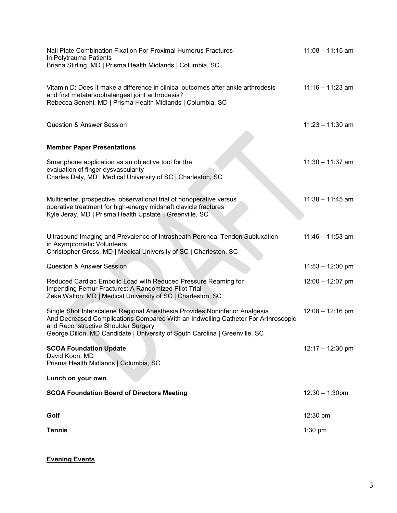| Nail Plate Combination Fixation For Proximal Humerus Fractures<br>In Polytrauma Patients<br>Briana Stirling, MD   Prisma Health Midlands   Columbia, SC                                                                                                                                | $11:08 - 11:15$ am |
|----------------------------------------------------------------------------------------------------------------------------------------------------------------------------------------------------------------------------------------------------------------------------------------|--------------------|
| Vitamin D: Does it make a difference in clinical outcomes after ankle arthrodesis<br>and first metatarsophalangeal joint arthrodesis?<br>Rebecca Senehi, MD   Prisma Health Midlands   Columbia, SC                                                                                    | $11:16 - 11:23$ am |
| <b>Question &amp; Answer Session</b>                                                                                                                                                                                                                                                   | $11:23 - 11:30$ am |
| <b>Member Paper Presentations</b>                                                                                                                                                                                                                                                      |                    |
| Smartphone application as an objective tool for the<br>evaluation of finger dysvascularity<br>Charles Daly, MD   Medical University of SC   Charleston, SC                                                                                                                             | $11:30 - 11:37$ am |
| Multicenter, prospective, observational trial of nonoperative versus<br>operative treatment for high-energy midshaft clavicle fractures<br>Kyle Jeray, MD   Prisma Health Upstate   Greenville, SC                                                                                     | $11:38 - 11:45$ am |
| Ultrasound Imaging and Prevalence of Intrasheath Peroneal Tendon Subluxation<br>in Asymptomatic Volunteers<br>Christopher Gross, MD   Medical University of SC   Charleston, SC                                                                                                        | $11:46 - 11:53$ am |
| <b>Question &amp; Answer Session</b>                                                                                                                                                                                                                                                   | $11:53 - 12:00$ pm |
| Reduced Cardiac Embolic Load with Reduced Pressure Reaming for<br>Impending Femur Fractures: A Randomized Pilot Trial<br>Zeke Walton, MD   Medical University of SC   Charleston, SC                                                                                                   | $12:00 - 12:07$ pm |
| Single Shot Interscalene Regional Anesthesia Provides Noninferior Analgesia<br>And Decreased Complications Compared With an Indwelling Catheter For Arthroscopic<br>and Reconstructive Shoulder Surgery<br>George Dillon, MD Candidate   University of South Carolina   Greenville, SC | $12:08 - 12:16$ pm |
| <b>SCOA Foundation Update</b><br>David Koon, MD<br>Prisma Health Midlands   Columbia, SC                                                                                                                                                                                               | $12:17 - 12:30$ pm |
| Lunch on your own                                                                                                                                                                                                                                                                      |                    |
| <b>SCOA Foundation Board of Directors Meeting</b>                                                                                                                                                                                                                                      | $12:30 - 1:30$ pm  |
| Golf                                                                                                                                                                                                                                                                                   | 12:30 pm           |
| <b>Tennis</b>                                                                                                                                                                                                                                                                          | $1:30$ pm          |

Evening Events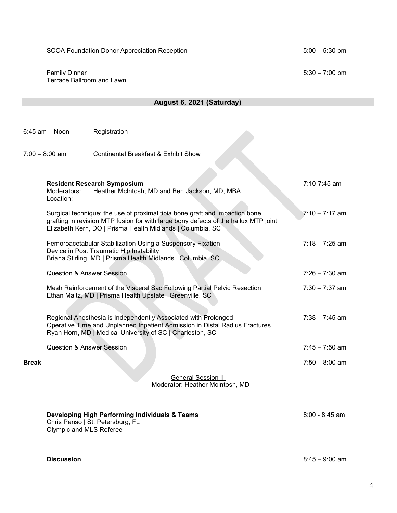SCOA Foundation Donor Appreciation Reception 5:00 – 5:30 pm

 Family Dinner 5:30 – 7:00 pm Terrace Ballroom and Lawn

6:45 am – Noon Registration

|              | $7:00 - 8:00$ am<br><b>Continental Breakfast &amp; Exhibit Show</b>                                                                                                                                                              |                  |
|--------------|----------------------------------------------------------------------------------------------------------------------------------------------------------------------------------------------------------------------------------|------------------|
|              | <b>Resident Research Symposium</b><br>Heather McIntosh, MD and Ben Jackson, MD, MBA<br>Moderators:<br>Location:                                                                                                                  | 7:10-7:45 am     |
|              | Surgical technique: the use of proximal tibia bone graft and impaction bone<br>grafting in revision MTP fusion for with large bony defects of the hallux MTP joint<br>Elizabeth Kern, DO   Prisma Health Midlands   Columbia, SC | $7:10 - 7:17$ am |
|              | Femoroacetabular Stabilization Using a Suspensory Fixation<br>Device in Post Traumatic Hip Instability<br>Briana Stirling, MD   Prisma Health Midlands   Columbia, SC                                                            | $7:18 - 7:25$ am |
|              | <b>Question &amp; Answer Session</b>                                                                                                                                                                                             | $7:26 - 7:30$ am |
|              | Mesh Reinforcement of the Visceral Sac Following Partial Pelvic Resection<br>Ethan Maltz, MD   Prisma Health Upstate   Greenville, SC                                                                                            | $7:30 - 7:37$ am |
|              | Regional Anesthesia is Independently Associated with Prolonged<br>Operative Time and Unplanned Inpatient Admission in Distal Radius Fractures<br>Ryan Horn, MD   Medical University of SC   Charleston, SC                       | $7:38 - 7:45$ am |
|              | <b>Question &amp; Answer Session</b>                                                                                                                                                                                             | $7:45 - 7:50$ am |
| <b>Break</b> |                                                                                                                                                                                                                                  | $7:50 - 8:00$ am |
|              | <b>General Session III</b><br>Moderator: Heather McIntosh, MD                                                                                                                                                                    |                  |
|              | Developing High Performing Individuals & Teams<br>Chris Penso   St. Petersburg, FL<br>Olympic and MLS Referee                                                                                                                    | $8:00 - 8:45$ am |

August 6, 2021 (Saturday)

Discussion 8:45 – 9:00 am